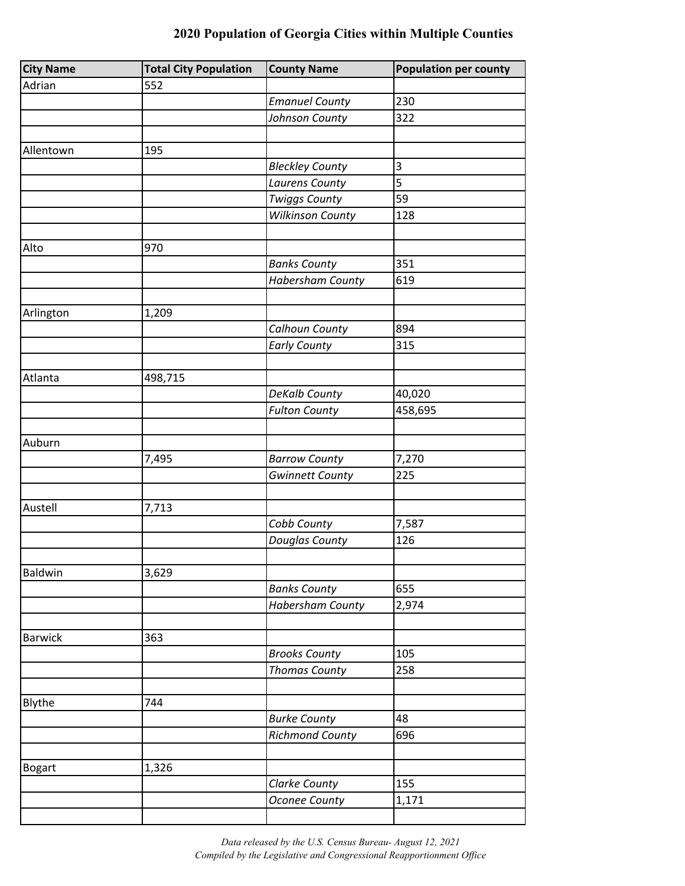| <b>City Name</b> | <b>Total City Population</b> | <b>County Name</b>      | <b>Population per county</b> |
|------------------|------------------------------|-------------------------|------------------------------|
| Adrian           | 552                          |                         |                              |
|                  |                              | <b>Emanuel County</b>   | 230                          |
|                  |                              | Johnson County          | 322                          |
|                  |                              |                         |                              |
| Allentown        | 195                          |                         |                              |
|                  |                              | <b>Bleckley County</b>  | $\mathsf 3$                  |
|                  |                              | <b>Laurens County</b>   | 5                            |
|                  |                              | <b>Twiggs County</b>    | 59                           |
|                  |                              | <b>Wilkinson County</b> | 128                          |
|                  |                              |                         |                              |
| Alto             | 970                          |                         |                              |
|                  |                              | <b>Banks County</b>     | 351                          |
|                  |                              | <b>Habersham County</b> | 619                          |
|                  |                              |                         |                              |
| Arlington        | 1,209                        |                         |                              |
|                  |                              | Calhoun County          | 894                          |
|                  |                              | <b>Early County</b>     | 315                          |
|                  |                              |                         |                              |
| Atlanta          | 498,715                      |                         |                              |
|                  |                              | DeKalb County           | 40,020                       |
|                  |                              | <b>Fulton County</b>    | 458,695                      |
|                  |                              |                         |                              |
| Auburn           |                              |                         |                              |
|                  | 7,495                        | <b>Barrow County</b>    | 7,270                        |
|                  |                              | <b>Gwinnett County</b>  | 225                          |
|                  |                              |                         |                              |
| Austell          | 7,713                        |                         |                              |
|                  |                              | Cobb County             | 7,587                        |
|                  |                              | Douglas County          | 126                          |
|                  |                              |                         |                              |
| Baldwin          | 3,629                        |                         |                              |
|                  |                              | <b>Banks County</b>     | 655                          |
|                  |                              | <b>Habersham County</b> | 2,974                        |
|                  |                              |                         |                              |
| <b>Barwick</b>   | 363                          |                         |                              |
|                  |                              | <b>Brooks County</b>    | 105                          |
|                  |                              | <b>Thomas County</b>    | 258                          |
|                  |                              |                         |                              |
| Blythe           | 744                          |                         |                              |
|                  |                              | <b>Burke County</b>     | 48                           |
|                  |                              | <b>Richmond County</b>  | 696                          |
|                  |                              |                         |                              |
| <b>Bogart</b>    | 1,326                        |                         |                              |
|                  |                              | Clarke County           | 155                          |
|                  |                              | <b>Oconee County</b>    | 1,171                        |
|                  |                              |                         |                              |

*Data released by the U.S. Census Bureau- August 12, 2021 Compiled by the Legislative and Congressional Reapportionment Office*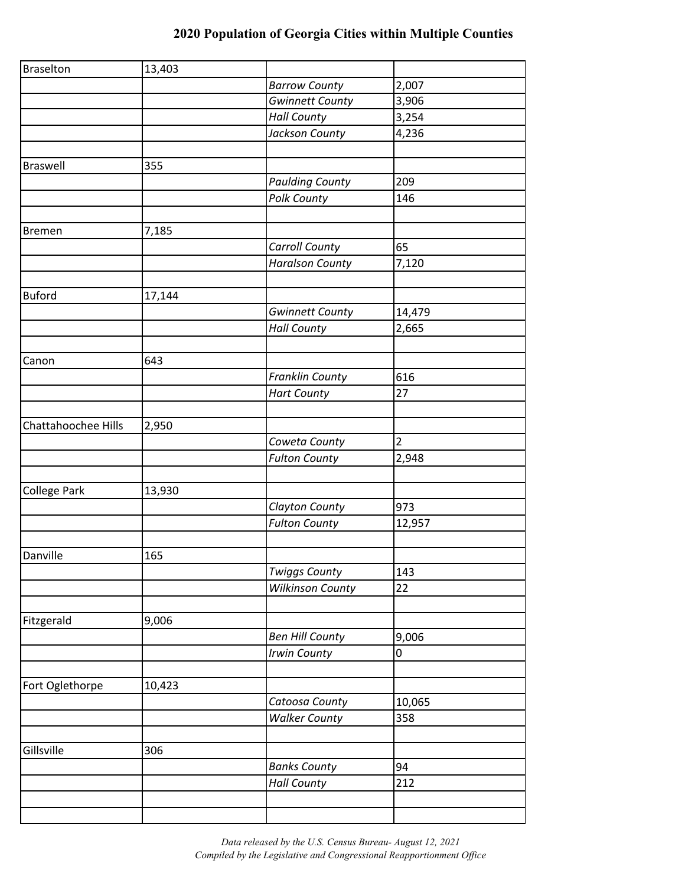| <b>Braselton</b>    | 13,403 |                         |                |
|---------------------|--------|-------------------------|----------------|
|                     |        | <b>Barrow County</b>    | 2,007          |
|                     |        | <b>Gwinnett County</b>  | 3,906          |
|                     |        | <b>Hall County</b>      | 3,254          |
|                     |        | Jackson County          | 4,236          |
|                     |        |                         |                |
| <b>Braswell</b>     | 355    |                         |                |
|                     |        | <b>Paulding County</b>  | 209            |
|                     |        | Polk County             | 146            |
|                     |        |                         |                |
| <b>Bremen</b>       | 7,185  |                         |                |
|                     |        | <b>Carroll County</b>   | 65             |
|                     |        | <b>Haralson County</b>  | 7,120          |
|                     |        |                         |                |
| <b>Buford</b>       | 17,144 |                         |                |
|                     |        | <b>Gwinnett County</b>  | 14,479         |
|                     |        | <b>Hall County</b>      | 2,665          |
|                     |        |                         |                |
| Canon               | 643    |                         |                |
|                     |        | <b>Franklin County</b>  | 616            |
|                     |        | <b>Hart County</b>      | 27             |
|                     |        |                         |                |
| Chattahoochee Hills | 2,950  |                         |                |
|                     |        | Coweta County           | $\overline{2}$ |
|                     |        | <b>Fulton County</b>    | 2,948          |
|                     |        |                         |                |
| College Park        | 13,930 |                         |                |
|                     |        | Clayton County          | 973            |
|                     |        | <b>Fulton County</b>    | 12,957         |
|                     |        |                         |                |
| Danville            | 165    |                         |                |
|                     |        | <b>Twiggs County</b>    | 143            |
|                     |        | <b>Wilkinson County</b> | 22             |
|                     |        |                         |                |
| Fitzgerald          | 9,006  |                         |                |
|                     |        | <b>Ben Hill County</b>  | 9,006          |
|                     |        | Irwin County            | 0              |
|                     |        |                         |                |
| Fort Oglethorpe     | 10,423 |                         |                |
|                     |        | Catoosa County          | 10,065         |
|                     |        | <b>Walker County</b>    | 358            |
|                     |        |                         |                |
| Gillsville          | 306    |                         |                |
|                     |        | <b>Banks County</b>     | 94             |
|                     |        | <b>Hall County</b>      | 212            |
|                     |        |                         |                |
|                     |        |                         |                |

*Data released by the U.S. Census Bureau- August 12, 2021 Compiled by the Legislative and Congressional Reapportionment Office*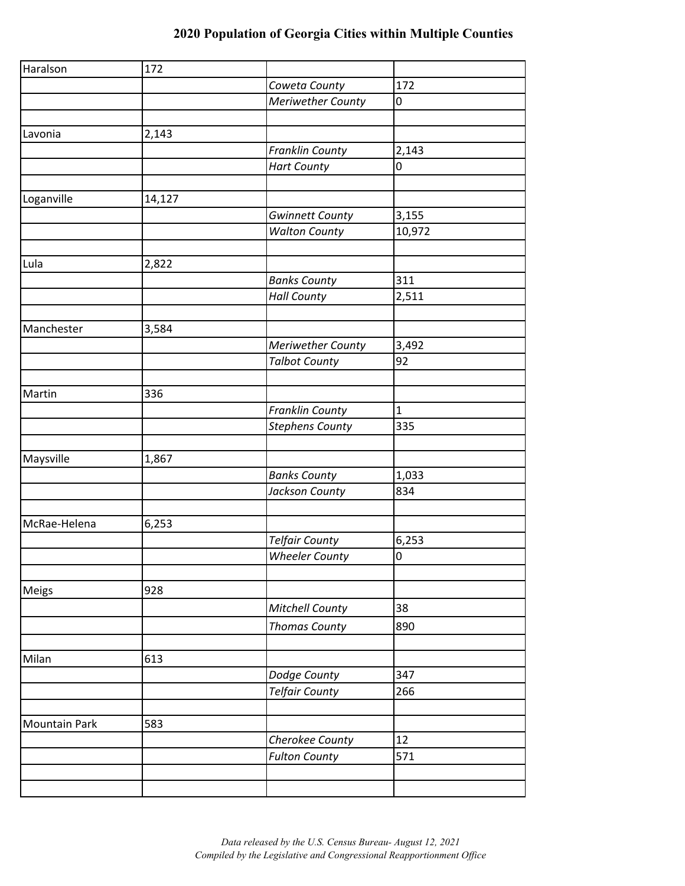| Haralson             | 172    |                          |              |
|----------------------|--------|--------------------------|--------------|
|                      |        | Coweta County            | 172          |
|                      |        | <b>Meriwether County</b> | 0            |
|                      |        |                          |              |
| Lavonia              | 2,143  |                          |              |
|                      |        | <b>Franklin County</b>   | 2,143        |
|                      |        | <b>Hart County</b>       | 0            |
|                      |        |                          |              |
| Loganville           | 14,127 |                          |              |
|                      |        | <b>Gwinnett County</b>   | 3,155        |
|                      |        | <b>Walton County</b>     | 10,972       |
|                      |        |                          |              |
| Lula                 | 2,822  |                          |              |
|                      |        | <b>Banks County</b>      | 311          |
|                      |        | <b>Hall County</b>       | 2,511        |
|                      |        |                          |              |
| Manchester           | 3,584  |                          |              |
|                      |        | <b>Meriwether County</b> | 3,492        |
|                      |        | <b>Talbot County</b>     | 92           |
|                      |        |                          |              |
| Martin               | 336    |                          |              |
|                      |        | <b>Franklin County</b>   | $\mathbf{1}$ |
|                      |        | Stephens County          | 335          |
|                      |        |                          |              |
| Maysville            | 1,867  |                          |              |
|                      |        | <b>Banks County</b>      | 1,033        |
|                      |        | Jackson County           | 834          |
|                      |        |                          |              |
| McRae-Helena         | 6,253  |                          |              |
|                      |        | <b>Telfair County</b>    | 6,253        |
|                      |        | <b>Wheeler County</b>    | $\pmb{0}$    |
|                      |        |                          |              |
| Meigs                | 928    |                          |              |
|                      |        | Mitchell County          | 38           |
|                      |        | <b>Thomas County</b>     | 890          |
|                      |        |                          |              |
| Milan                | 613    |                          |              |
|                      |        | Dodge County             | 347          |
|                      |        | <b>Telfair County</b>    | 266          |
|                      |        |                          |              |
| <b>Mountain Park</b> | 583    |                          |              |
|                      |        | Cherokee County          | 12           |
|                      |        | <b>Fulton County</b>     | 571          |
|                      |        |                          |              |
|                      |        |                          |              |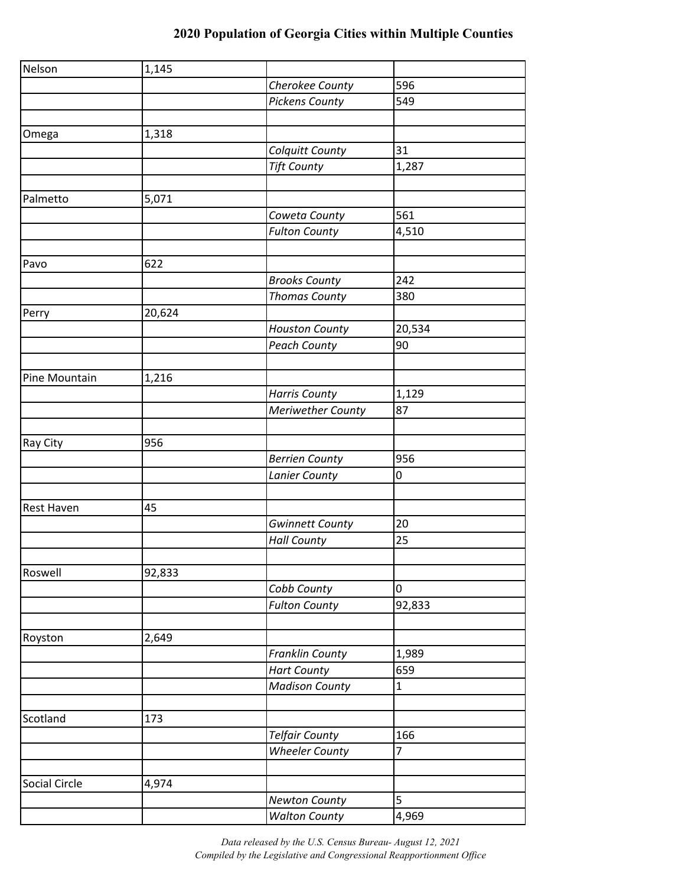| Nelson            | 1,145  |                          |             |
|-------------------|--------|--------------------------|-------------|
|                   |        | Cherokee County          | 596         |
|                   |        | <b>Pickens County</b>    | 549         |
|                   |        |                          |             |
| Omega             | 1,318  |                          |             |
|                   |        | Colquitt County          | 31          |
|                   |        | <b>Tift County</b>       | 1,287       |
|                   |        |                          |             |
| Palmetto          | 5,071  |                          |             |
|                   |        | Coweta County            | 561         |
|                   |        | <b>Fulton County</b>     | 4,510       |
|                   |        |                          |             |
| Pavo              | 622    |                          |             |
|                   |        | <b>Brooks County</b>     | 242         |
|                   |        | <b>Thomas County</b>     | 380         |
| Perry             | 20,624 |                          |             |
|                   |        | <b>Houston County</b>    | 20,534      |
|                   |        | <b>Peach County</b>      | 90          |
|                   |        |                          |             |
| Pine Mountain     | 1,216  |                          |             |
|                   |        | <b>Harris County</b>     | 1,129       |
|                   |        | <b>Meriwether County</b> | 87          |
|                   |        |                          |             |
| Ray City          | 956    |                          |             |
|                   |        | <b>Berrien County</b>    | 956         |
|                   |        | Lanier County            | 0           |
|                   |        |                          |             |
| <b>Rest Haven</b> | 45     |                          |             |
|                   |        | <b>Gwinnett County</b>   | 20          |
|                   |        | <b>Hall County</b>       | 25          |
|                   |        |                          |             |
| Roswell           | 92,833 |                          |             |
|                   |        | Cobb County              | $\pmb{0}$   |
|                   |        | <b>Fulton County</b>     | 92,833      |
|                   |        |                          |             |
| Royston           | 2,649  |                          |             |
|                   |        | Franklin County          | 1,989       |
|                   |        | <b>Hart County</b>       | 659         |
|                   |        | <b>Madison County</b>    | $\mathbf 1$ |
|                   |        |                          |             |
| Scotland          | 173    |                          |             |
|                   |        | <b>Telfair County</b>    | 166         |
|                   |        | <b>Wheeler County</b>    | 7           |
|                   |        |                          |             |
| Social Circle     | 4,974  |                          |             |
|                   |        | <b>Newton County</b>     | 5           |
|                   |        | <b>Walton County</b>     | 4,969       |

*Data released by the U.S. Census Bureau- August 12, 2021 Compiled by the Legislative and Congressional Reapportionment Office*